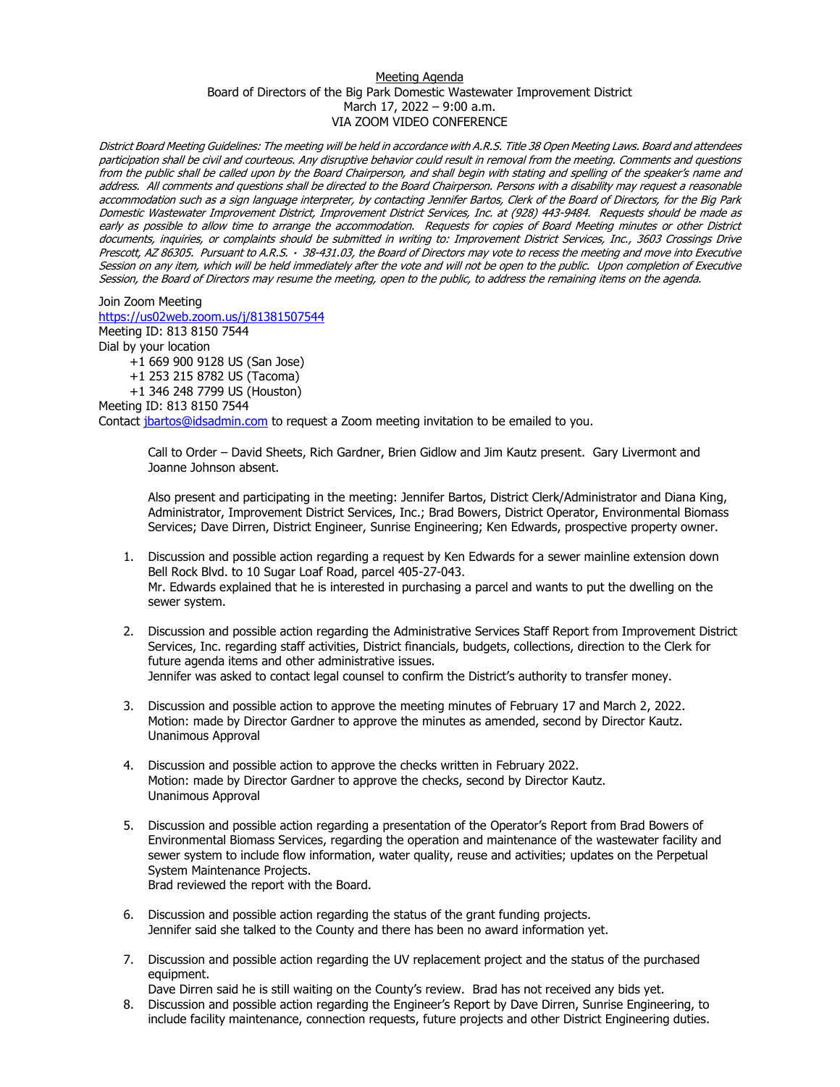## Meeting Agenda Board of Directors of the Big Park Domestic Wastewater Improvement District March 17, 2022 – 9:00 a.m. VIA ZOOM VIDEO CONFERENCE

District Board Meeting Guidelines: The meeting will be held in accordance with A.R.S. Title 38 Open Meeting Laws. Board and attendees participation shall be civil and courteous. Any disruptive behavior could result in removal from the meeting. Comments and questions from the public shall be called upon by the Board Chairperson, and shall begin with stating and spelling of the speaker's name and address. All comments and questions shall be directed to the Board Chairperson. Persons with a disability may request a reasonable accommodation such as a sign language interpreter, by contacting Jennifer Bartos, Clerk of the Board of Directors, for the Big Park Domestic Wastewater Improvement District, Improvement District Services, Inc. at (928) 443-9484. Requests should be made as early as possible to allow time to arrange the accommodation. Requests for copies of Board Meeting minutes or other District documents, inquiries, or complaints should be submitted in writing to: Improvement District Services, Inc., 3603 Crossings Drive Prescott, AZ 86305. Pursuant to A.R.S. · 38-431.03, the Board of Directors may vote to recess the meeting and move into Executive Session on any item, which will be held immediately after the vote and will not be open to the public. Upon completion of Executive Session, the Board of Directors may resume the meeting, open to the public, to address the remaining items on the agenda.

Join Zoom Meeting <https://us02web.zoom.us/j/81381507544> Meeting ID: 813 8150 7544 Dial by your location

> +1 669 900 9128 US (San Jose) +1 253 215 8782 US (Tacoma) +1 346 248 7799 US (Houston)

Meeting ID: 813 8150 7544

Contact [jbartos@idsadmin.com](mailto:jbartos@idsadmin.com) to request a Zoom meeting invitation to be emailed to you.

Call to Order – David Sheets, Rich Gardner, Brien Gidlow and Jim Kautz present. Gary Livermont and Joanne Johnson absent.

Also present and participating in the meeting: Jennifer Bartos, District Clerk/Administrator and Diana King, Administrator, Improvement District Services, Inc.; Brad Bowers, District Operator, Environmental Biomass Services; Dave Dirren, District Engineer, Sunrise Engineering; Ken Edwards, prospective property owner.

- 1. Discussion and possible action regarding a request by Ken Edwards for a sewer mainline extension down Bell Rock Blvd. to 10 Sugar Loaf Road, parcel 405-27-043. Mr. Edwards explained that he is interested in purchasing a parcel and wants to put the dwelling on the sewer system.
- 2. Discussion and possible action regarding the Administrative Services Staff Report from Improvement District Services, Inc. regarding staff activities, District financials, budgets, collections, direction to the Clerk for future agenda items and other administrative issues. Jennifer was asked to contact legal counsel to confirm the District's authority to transfer money.
- 3. Discussion and possible action to approve the meeting minutes of February 17 and March 2, 2022. Motion: made by Director Gardner to approve the minutes as amended, second by Director Kautz. Unanimous Approval
- 4. Discussion and possible action to approve the checks written in February 2022. Motion: made by Director Gardner to approve the checks, second by Director Kautz. Unanimous Approval
- 5. Discussion and possible action regarding a presentation of the Operator's Report from Brad Bowers of Environmental Biomass Services, regarding the operation and maintenance of the wastewater facility and sewer system to include flow information, water quality, reuse and activities; updates on the Perpetual System Maintenance Projects. Brad reviewed the report with the Board.

6. Discussion and possible action regarding the status of the grant funding projects. Jennifer said she talked to the County and there has been no award information yet.

- 7. Discussion and possible action regarding the UV replacement project and the status of the purchased equipment.
- Dave Dirren said he is still waiting on the County's review. Brad has not received any bids yet.
- 8. Discussion and possible action regarding the Engineer's Report by Dave Dirren, Sunrise Engineering, to include facility maintenance, connection requests, future projects and other District Engineering duties.